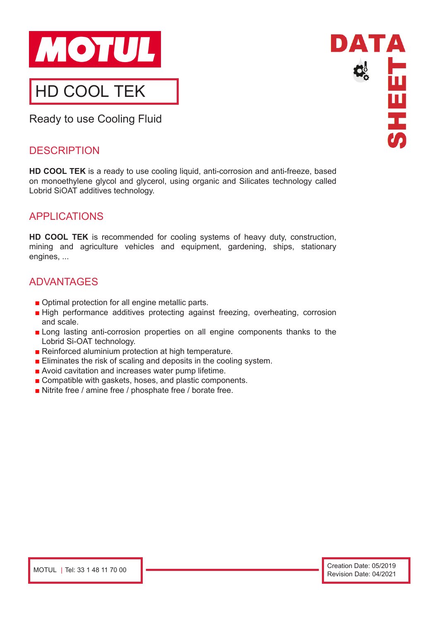

Ready to use Cooling Fluid

#### **DESCRIPTION**

**HD COOL TEK** is a ready to use cooling liquid, anti-corrosion and anti-freeze, based on monoethylene glycol and glycerol, using organic and Silicates technology called Lobrid SiOAT additives technology.

### APPLICATIONS

**HD COOL TEK** is recommended for cooling systems of heavy duty, construction, mining and agriculture vehicles and equipment, gardening, ships, stationary engines, ...

# ADVANTAGES

- Optimal protection for all engine metallic parts.
- High performance additives protecting against freezing, overheating, corrosion and scale.
- Long lasting anti-corrosion properties on all engine components thanks to the Lobrid Si-OAT technology.
- Reinforced aluminium protection at high temperature.
- Eliminates the risk of scaling and deposits in the cooling system.
- Avoid cavitation and increases water pump lifetime.
- Compatible with gaskets, hoses, and plastic components.
- Nitrite free / amine free / phosphate free / borate free.

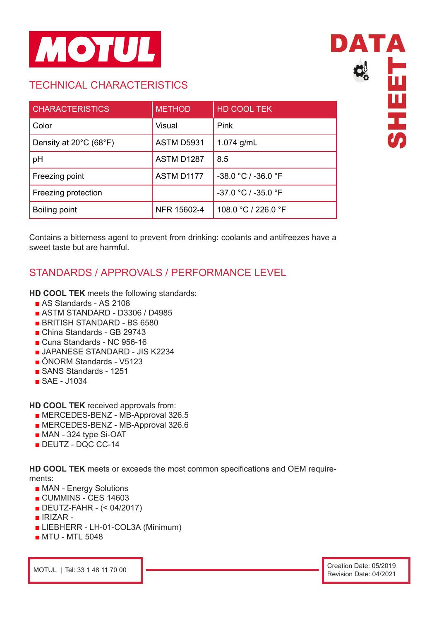

### TECHNICAL CHARACTERISTICS

| <b>CHARACTERISTICS</b>                      | <b>METHOD</b>     | <b>HD COOL TEK</b>    |
|---------------------------------------------|-------------------|-----------------------|
| Color                                       | Visual            | Pink                  |
| Density at $20^{\circ}$ C (68 $^{\circ}$ F) | <b>ASTM D5931</b> | 1.074 $g/mL$          |
| pH                                          | ASTM D1287        | 8.5                   |
| Freezing point                              | ASTM D1177        | $-38.0 °C / -36.0 °F$ |
| Freezing protection                         |                   | $-37.0 °C / -35.0 °F$ |
| Boiling point                               | NFR 15602-4       | 108.0 °C / 226.0 °F   |

Contains a bitterness agent to prevent from drinking: coolants and antifreezes have a sweet taste but are harmful.

# STANDARDS / APPROVALS / PERFORMANCE LEVEL

#### **HD COOL TEK** meets the following standards:

- AS Standards AS 2108
- ASTM STANDARD D3306 / D4985
- BRITISH STANDARD BS 6580
- China Standards GB 29743
- Cuna Standards NC 956-16
- JAPANESE STANDARD JIS K2234
- ÖNORM Standards V5123
- SANS Standards 1251
- SAE J1034

**HD COOL TEK** received approvals from:

- MERCEDES-BENZ MB-Approval 326.5
- MERCEDES-BENZ MB-Approval 326.6
- MAN 324 type Si-OAT
- DEUTZ DQC CC-14

**HD COOL TEK** meets or exceeds the most common specifications and OEM requirements:

- MAN Energy Solutions
- CUMMINS CES 14603
- DEUTZ-FAHR (< 04/2017)
- **IRIZAR** -
- LIEBHERR LH-01-COL3A (Minimum)
- MTU MTL 5048